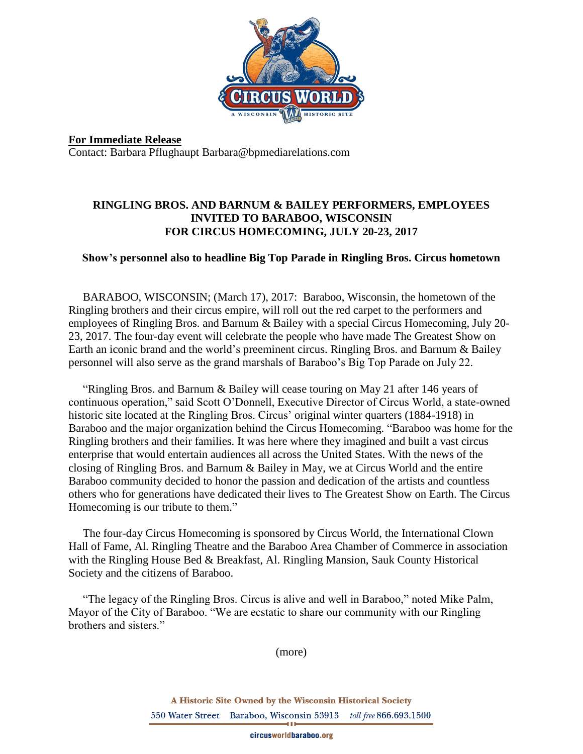

**For Immediate Release** Contact: Barbara Pflughaupt Barbara@bpmediarelations.com

## **RINGLING BROS. AND BARNUM & BAILEY PERFORMERS, EMPLOYEES INVITED TO BARABOO, WISCONSIN FOR CIRCUS HOMECOMING, JULY 20-23, 2017**

## **Show's personnel also to headline Big Top Parade in Ringling Bros. Circus hometown**

 BARABOO, WISCONSIN; (March 17), 2017: Baraboo, Wisconsin, the hometown of the Ringling brothers and their circus empire, will roll out the red carpet to the performers and employees of Ringling Bros. and Barnum & Bailey with a special Circus Homecoming, July 20- 23, 2017. The four-day event will celebrate the people who have made The Greatest Show on Earth an iconic brand and the world's preeminent circus. Ringling Bros. and Barnum & Bailey personnel will also serve as the grand marshals of Baraboo's Big Top Parade on July 22.

 "Ringling Bros. and Barnum & Bailey will cease touring on May 21 after 146 years of continuous operation," said Scott O'Donnell, Executive Director of Circus World, a state-owned historic site located at the Ringling Bros. Circus' original winter quarters (1884-1918) in Baraboo and the major organization behind the Circus Homecoming. "Baraboo was home for the Ringling brothers and their families. It was here where they imagined and built a vast circus enterprise that would entertain audiences all across the United States. With the news of the closing of Ringling Bros. and Barnum & Bailey in May, we at Circus World and the entire Baraboo community decided to honor the passion and dedication of the artists and countless others who for generations have dedicated their lives to The Greatest Show on Earth. The Circus Homecoming is our tribute to them."

 The four-day Circus Homecoming is sponsored by Circus World, the International Clown Hall of Fame, Al. Ringling Theatre and the Baraboo Area Chamber of Commerce in association with the Ringling House Bed & Breakfast, Al. Ringling Mansion, Sauk County Historical Society and the citizens of Baraboo.

 "The legacy of the Ringling Bros. Circus is alive and well in Baraboo," noted Mike Palm, Mayor of the City of Baraboo. "We are ecstatic to share our community with our Ringling brothers and sisters."

(more)

A Historic Site Owned by the Wisconsin Historical Society 550 Water Street Baraboo, Wisconsin 53913 toll free 866.693.1500

circusworldbaraboo.org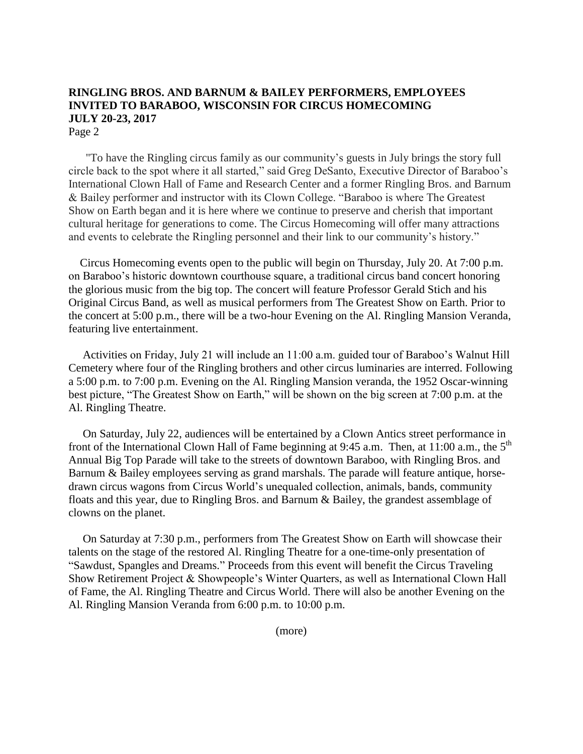## **RINGLING BROS. AND BARNUM & BAILEY PERFORMERS, EMPLOYEES INVITED TO BARABOO, WISCONSIN FOR CIRCUS HOMECOMING JULY 20-23, 2017** Page 2

 "To have the Ringling circus family as our community's guests in July brings the story full circle back to the spot where it all started," said Greg DeSanto, Executive Director of Baraboo's International Clown Hall of Fame and Research Center and a former Ringling Bros. and Barnum & Bailey performer and instructor with its Clown College. "Baraboo is where The Greatest Show on Earth began and it is here where we continue to preserve and cherish that important cultural heritage for generations to come. The Circus Homecoming will offer many attractions and events to celebrate the Ringling personnel and their link to our community's history."

 Circus Homecoming events open to the public will begin on Thursday, July 20. At 7:00 p.m. on Baraboo's historic downtown courthouse square, a traditional circus band concert honoring the glorious music from the big top. The concert will feature Professor Gerald Stich and his Original Circus Band, as well as musical performers from The Greatest Show on Earth. Prior to the concert at 5:00 p.m., there will be a two-hour Evening on the Al. Ringling Mansion Veranda, featuring live entertainment.

 Activities on Friday, July 21 will include an 11:00 a.m. guided tour of Baraboo's Walnut Hill Cemetery where four of the Ringling brothers and other circus luminaries are interred. Following a 5:00 p.m. to 7:00 p.m. Evening on the Al. Ringling Mansion veranda, the 1952 Oscar-winning best picture, "The Greatest Show on Earth," will be shown on the big screen at 7:00 p.m. at the Al. Ringling Theatre.

 On Saturday, July 22, audiences will be entertained by a Clown Antics street performance in front of the International Clown Hall of Fame beginning at 9:45 a.m. Then, at 11:00 a.m., the  $5<sup>th</sup>$ Annual Big Top Parade will take to the streets of downtown Baraboo, with Ringling Bros. and Barnum & Bailey employees serving as grand marshals. The parade will feature antique, horsedrawn circus wagons from Circus World's unequaled collection, animals, bands, community floats and this year, due to Ringling Bros. and Barnum & Bailey, the grandest assemblage of clowns on the planet.

 On Saturday at 7:30 p.m., performers from The Greatest Show on Earth will showcase their talents on the stage of the restored Al. Ringling Theatre for a one-time-only presentation of "Sawdust, Spangles and Dreams." Proceeds from this event will benefit the Circus Traveling Show Retirement Project & Showpeople's Winter Quarters, as well as International Clown Hall of Fame, the Al. Ringling Theatre and Circus World. There will also be another Evening on the Al. Ringling Mansion Veranda from 6:00 p.m. to 10:00 p.m.

(more)